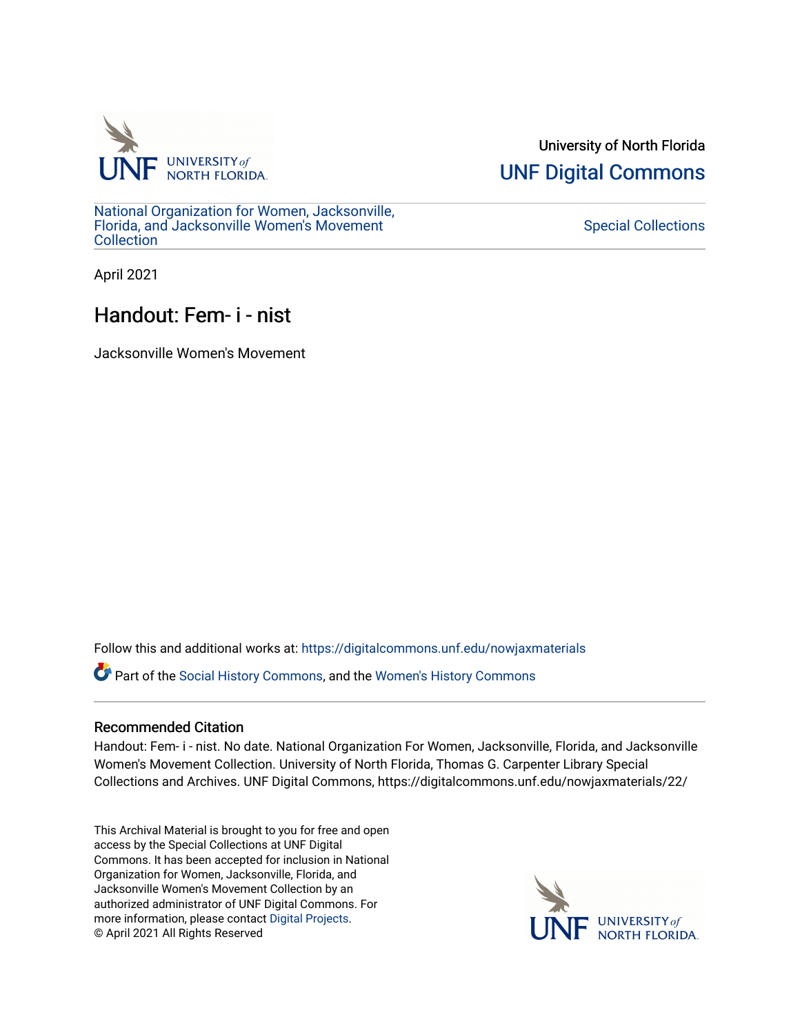

University of North Florida [UNF Digital Commons](https://digitalcommons.unf.edu/) 

[National Organization for Women, Jacksonville,](https://digitalcommons.unf.edu/nowjaxmaterials) [Florida, and Jacksonville Women's Movement](https://digitalcommons.unf.edu/nowjaxmaterials) **Collection** 

[Special Collections](https://digitalcommons.unf.edu/special_collections) 

April 2021

## Handout: Fem- i - nist

Jacksonville Women's Movement

Follow this and additional works at: [https://digitalcommons.unf.edu/nowjaxmaterials](https://digitalcommons.unf.edu/nowjaxmaterials?utm_source=digitalcommons.unf.edu%2Fnowjaxmaterials%2F22&utm_medium=PDF&utm_campaign=PDFCoverPages) 

Part of the [Social History Commons](http://network.bepress.com/hgg/discipline/506?utm_source=digitalcommons.unf.edu%2Fnowjaxmaterials%2F22&utm_medium=PDF&utm_campaign=PDFCoverPages), and the [Women's History Commons](http://network.bepress.com/hgg/discipline/507?utm_source=digitalcommons.unf.edu%2Fnowjaxmaterials%2F22&utm_medium=PDF&utm_campaign=PDFCoverPages)

## Recommended Citation

Handout: Fem- i - nist. No date. National Organization For Women, Jacksonville, Florida, and Jacksonville Women's Movement Collection. University of North Florida, Thomas G. Carpenter Library Special Collections and Archives. UNF Digital Commons, https://digitalcommons.unf.edu/nowjaxmaterials/22/

This Archival Material is brought to you for free and open access by the Special Collections at UNF Digital Commons. It has been accepted for inclusion in National Organization for Women, Jacksonville, Florida, and Jacksonville Women's Movement Collection by an authorized administrator of UNF Digital Commons. For more information, please contact [Digital Projects](mailto:lib-digital@unf.edu). © April 2021 All Rights Reserved